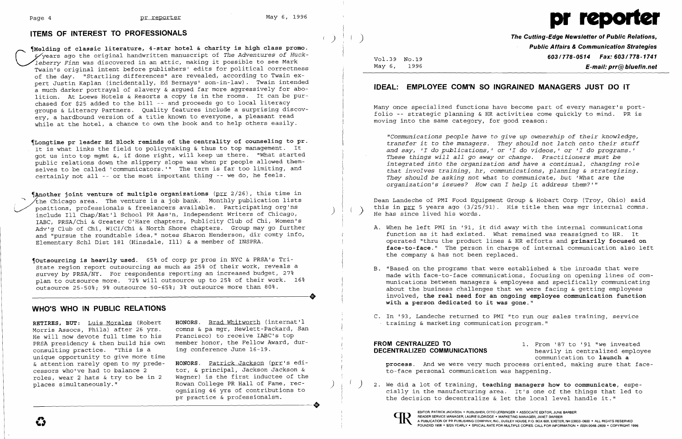# **ITEMS OF INTEREST TO PROFESSIONALS CONSUMITY CONSUMITY CONSUMITY CONSUMITY** The Cutting-Edge Newsletter of Public Relations,



**of classic literature, 4-star hotel & charity is high class promo.** years ago the original handwritten manuscript of *The Adventures of Huckleberry Finn* was discovered in an attic, making it possible to see Mark Twain's original intent before publishers' edits for political correctness of the day. "Startling differences" are revealed, according to Twain expert Justin Kaplan (incidentally, Ed Bernays' son-in-law). Twain intended a much darker portrayal of slavery & argued far more aggressively for abolition. At Loews Hotels & Resorts a copy is in the rooms. It can be purchased for \$25 added to the bill -- and proceeds go to local literacy groups & Literacy Partners. Quality features include a surprising discovery, a hardbound version of a title known to everyone, a pleasant read while at the hotel, a chance to own the book and to help others easily.

**Another joint venture of multiple organizations** (prr 2/26), this time in the Chicago area. The venture is a job bank. Monthly publication lists<br>positions, professionals & freelancers available. Participating org'ns<br>include Ill Chap/Nat'l School PR Ass'n, Independent Writers of Chicago, include Ill Chap/Nat'l School PR Ass'n, Independent Writers of Chicago,<br>IABC, PRSA/Chi & Greater O'Hare chapters, Publicity Club of Chi, Women's Adv'g Club of Chi, WICI/Chi & North Shore chapters. Group may go further and "pursue the roundtable idea," notes Sharon Henderson, dir comty info, Elementary Schl Dist 181 (Hinsdale, Ill) & a member of INSPRA.

~outsourcing **is heavily used.** 65% of corp pr pros in NYC & PRSA's Tri-State region report outsourcing as much as 25% of their work, reveals a survey by PRSA/NY. For respondents reporting an increased budget, 27% plan to outsource more. 72% will outsource up to 25% of their work. 16% .<br>outsource 25-50%; 9% outsource 50-65%; 3% outsource more than 80%. plan to outsource more. 72% will outsource up to 25% of their work. 16%<br>outsource 25-50%; 9% outsource 50-65%; 3% outsource more than 80%.

~Longtime **pr leader Ed Block reminds of the centrality of counseling to pro**  It is what links the field to policymaking & thus to top management. It got us into top mgmt &, if done right, will keep us there. "What started public relations down the slippery slope was when pr people allowed themselves to be called 'communicators. '" The term is far too limiting, and certainly not all -- or the most important thing -- we do, he feels.

**RETIRES, BUT:** Luis Morales (Robert **HONORS.** Brad Whitworth (internat'l He will now devote full time to his PRSA presidency & then build his own consulting practice. "This is a unique opportunity to give more time<br> $\&$  attention rarely open to my prede-& attention rarely open to my prede **HONORS.** Patrick Jackson (prr's edi cessors who've had to balance 2 tor, & principal, Jackson Jackson &<br>roles, wear 2 hats & try to be in 2 Wagner) is the first inductee of the roles, wear 2 hats & try to be in 2 Wagner) is the first inductee of the<br>places simultaneously." Rowan College PR Hall of Fame, rec-

comns & pa mgr, Hewlett-Packard, San<br>Francisco) to receive IABC's top member honor, the Fellow Award, during conference June 16-19.

Rowan College PR Hall of Fame, recognizing 46 yrs of contributions to pr practice & professionalsm. places simultaneously."<br>
Mowall College PK Hall Of Fame, fec-<br>
ognizing 46 yrs of contributions to<br>
pr practice & professionalsm. Vol.39 No.19<br>Mav 6, 1996

**Public Affairs & Communication Strategies**  *603/778-0514 Fax: 603/778-1741* E-mail: prr@bluefin.net

Dean Landeche of PMI Food Equipment Group & Hobart Corp (Troy, Ohio) said this in prr 5 years ago  $(3/25/91)$ . His title then was mgr internal comns.<br>He has since lived his words.

### **WHO'S WHO IN PUBLIC RELATIONS**

**FROM CENTRALIZED TO** 1. From '87 to '91 "we invested **DECENTRALIZED COMMUNICATIONS** heavily in centralized employee communication to **launch a process.** And we were very much process oriented, making sure that faceto-face personal communication was happening.

## **IDEAL: EMPLOYEE COM'N SO INGRAINED MANAGERS JUST DO IT**

Many once specialized functions have become part of every manager's portfolio -- strategic planning & HR activities come quickly to mind. PR is moving into the same category, for good reason:

*"Communications people have* to *give up ownership of their knowledge, transfer it* to *the managers. They should not latch onto their stuff and say, 'I* do *pUblications,* I or *'I* do *videos,'* or *'I* do *programs. ' These things will all go away* or *change. Practitioners must be integrated into the organization and have* a *continual, changing role that involves training, hr, communications, planning* & *strategizing. They should be asking not what* to *communicate, but 'What are the organization's issues? How can I help it address them?'"* 

A. When he left PMI in '91, it did away with the internal communications function as it had existed. What remained was reassigned to HR. It operated "thru the product lines & HR efforts and **primarily focused on face-to-face."** The person in charge of internal communication also left

B. "Based on the programs that were established & the inroads that were made with face-to-face communications, focusing on opening lines of communications between managers & employees and specifically communicating about the business challenges that we were facing  $\&$  getting employees involved, **the real need for an ongoing employee communication function** 

- the company & has not been replaced.
- **with a person dedicated to it was gone."**
- C. In '93, Landeche returned to PMI "to run our sales training, service training & marketing communication program."

) 2. We did a lot of training, **teaching managers how to communicate,** espethe decision to decentralize & let the local level handle it."



cially in the manufacturing area. It's one of the things that led to